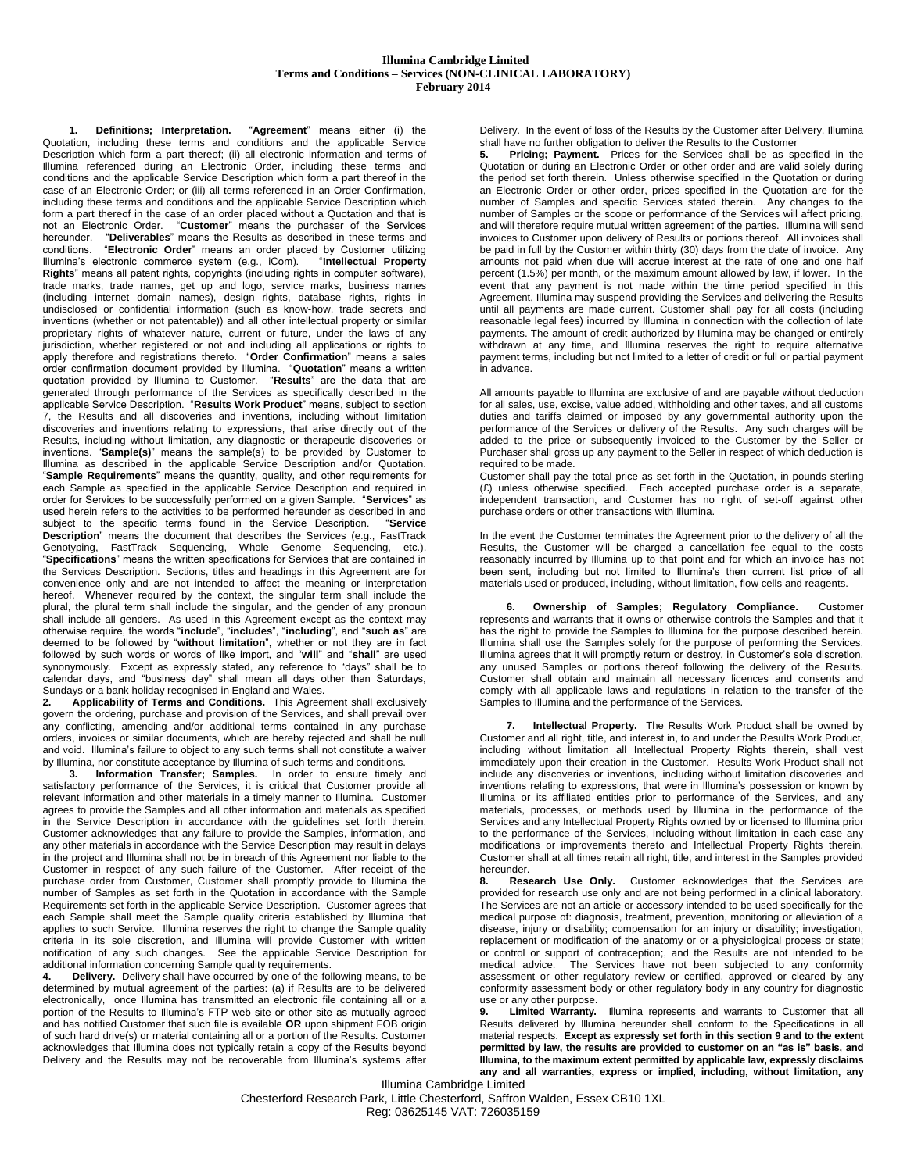## **Illumina Cambridge Limited Terms and Conditions – Services (NON-CLINICAL LABORATORY) February 2014**

<span id="page-0-1"></span>**1. Definitions; Interpretation.** "**Agreement**" means either (i) the Quotation, including these terms and conditions and the applicable Service Description which form a part thereof; (ii) all electronic information and terms of Illumina referenced during an Electronic Order, including these terms and conditions and the applicable Service Description which form a part thereof in the case of an Electronic Order; or (iii) all terms referenced in an Order Confirmation, including these terms and conditions and the applicable Service Description which form a part thereof in the case of an order placed without a Quotation and that is not an Electronic Order. "**Customer**" means the purchaser of the Services hereunder. "**Deliverables**" means the Results as described in these terms and conditions. "**Electronic Order**" means an order placed by Customer utilizing Illumina's electronic commerce system (e.g., iCom). "**Intellectual Property Rights**" means all patent rights, copyrights (including rights in computer software), trade marks, trade names, get up and logo, service marks, business names (including internet domain names), design rights, database rights, rights in undisclosed or confidential information (such as know-how, trade secrets and inventions (whether or not patentable)) and all other intellectual property or similar proprietary rights of whatever nature, current or future, under the laws of any jurisdiction, whether registered or not and including all applications or rights to apply therefore and registrations thereto. "**Order Confirmation**" means a sales order confirmation document provided by Illumina. "**Quotation**" means a written quotation provided by Illumina to Customer. "**Results**" are the data that are generated through performance of the Services as specifically described in the applicable Service Description. "**Results Work Product**" means, subject to section 7, the Results and all discoveries and inventions, including without limitation discoveries and inventions relating to expressions, that arise directly out of the Results, including without limitation, any diagnostic or therapeutic discoveries or inventions. "**Sample(s)**" means the sample(s) to be provided by Customer to Illumina as described in the applicable Service Description and/or Quotation. "**Sample Requirements**" means the quantity, quality, and other requirements for each Sample as specified in the applicable Service Description and required in order for Services to be successfully performed on a given Sample. "**Services**" as used herein refers to the activities to be performed hereunder as described in and<br>subject to the specific terms found in the Service Description. "Service subject to the specific terms found in the Service Description. **Description**" means the document that describes the Services (e.g., FastTrack Genotyping, FastTrack Sequencing, Whole Genome Sequencing, etc.). "**Specifications**" means the written specifications for Services that are contained in the Services Description. Sections, titles and headings in this Agreement are for convenience only and are not intended to affect the meaning or interpretation hereof. Whenever required by the context, the singular term shall include the plural, the plural term shall include the singular, and the gender of any pronoun shall include all genders. As used in this Agreement except as the context may otherwise require, the words "**include**", "**includes**", "**including**", and "**such as**" are deemed to be followed by "**without limitation**", whether or not they are in fact followed by such words or words of like import, and "**will**" and "**shall**" are used synonymously. Except as expressly stated, any reference to "days" shall be to calendar days, and "business day" shall mean all days other than Saturdays, Sundays or a bank holiday recognised in England and Wales.

<span id="page-0-2"></span>**2. Applicability of Terms and Conditions.** This Agreement shall exclusively govern the ordering, purchase and provision of the Services, and shall prevail over any conflicting, amending and/or additional terms contained in any purchase orders, invoices or similar documents, which are hereby rejected and shall be null and void. Illumina's failure to object to any such terms shall not constitute a waiver by Illumina, nor constitute acceptance by Illumina of such terms and conditions.

**3. Information Transfer; Samples.** In order to ensure timely and satisfactory performance of the Services, it is critical that Customer provide all relevant information and other materials in a timely manner to Illumina. Customer agrees to provide the Samples and all other information and materials as specified in the Service Description in accordance with the guidelines set forth therein. Customer acknowledges that any failure to provide the Samples, information, and any other materials in accordance with the Service Description may result in delays in the project and Illumina shall not be in breach of this Agreement nor liable to the Customer in respect of any such failure of the Customer. After receipt of the purchase order from Customer, Customer shall promptly provide to Illumina the number of Samples as set forth in the Quotation in accordance with the Sample Requirements set forth in the applicable Service Description. Customer agrees that each Sample shall meet the Sample quality criteria established by Illumina that applies to such Service. Illumina reserves the right to change the Sample quality criteria in its sole discretion, and Illumina will provide Customer with written notification of any such changes. See the applicable Service Description for additional information concerning Sample quality requirements.

**Delivery.** Delivery shall have occurred by one of the following means, to be determined by mutual agreement of the parties: (a) if Results are to be delivered electronically, once Illumina has transmitted an electronic file containing all or a portion of the Results to Illumina's FTP web site or other site as mutually agreed and has notified Customer that such file is available **OR** upon shipment FOB origin of such hard drive(s) or material containing all or a portion of the Results. Customer acknowledges that Illumina does not typically retain a copy of the Results beyond Delivery and the Results may not be recoverable from Illumina's systems after Delivery. In the event of loss of the Results by the Customer after Delivery, Illumina shall have no further obligation to deliver the Results to the Customer

<span id="page-0-3"></span>**5. Pricing; Payment.** Prices for the Services shall be as specified in the Quotation or during an Electronic Order or other order and are valid solely during the period set forth therein. Unless otherwise specified in the Quotation or during an Electronic Order or other order, prices specified in the Quotation are for the number of Samples and specific Services stated therein. Any changes to the number of Samples or the scope or performance of the Services will affect pricing, and will therefore require mutual written agreement of the parties. Illumina will send invoices to Customer upon delivery of Results or portions thereof. All invoices shall be paid in full by the Customer within thirty (30) days from the date of invoice. Any amounts not paid when due will accrue interest at the rate of one and one half percent (1.5%) per month, or the maximum amount allowed by law, if lower. In the event that any payment is not made within the time period specified in this Agreement, Illumina may suspend providing the Services and delivering the Results until all payments are made current. Customer shall pay for all costs (including reasonable legal fees) incurred by Illumina in connection with the collection of late payments. The amount of credit authorized by Illumina may be changed or entirely withdrawn at any time, and Illumina reserves the right to require alternative payment terms, including but not limited to a letter of credit or full or partial payment in advance.

All amounts payable to Illumina are exclusive of and are payable without deduction for all sales, use, excise, value added, withholding and other taxes, and all customs duties and tariffs claimed or imposed by any governmental authority upon the performance of the Services or delivery of the Results. Any such charges will be added to the price or subsequently invoiced to the Customer by the Seller or Purchaser shall gross up any payment to the Seller in respect of which deduction is required to be made.

Customer shall pay the total price as set forth in the Quotation, in pounds sterling (£) unless otherwise specified. Each accepted purchase order is a separate, independent transaction, and Customer has no right of set-off against other purchase orders or other transactions with Illumina.

In the event the Customer terminates the Agreement prior to the delivery of all the Results, the Customer will be charged a cancellation fee equal to the costs reasonably incurred by Illumina up to that point and for which an invoice has not been sent, including but not limited to Illumina's then current list price of all materials used or produced, including, without limitation, flow cells and reagents.

<span id="page-0-4"></span>**6. Ownership of Samples; Regulatory Compliance.** Customer represents and warrants that it owns or otherwise controls the Samples and that it has the right to provide the Samples to Illumina for the purpose described herein. Illumina shall use the Samples solely for the purpose of performing the Services. Illumina agrees that it will promptly return or destroy, in Customer's sole discretion, any unused Samples or portions thereof following the delivery of the Results. Customer shall obtain and maintain all necessary licences and consents and comply with all applicable laws and regulations in relation to the transfer of the Samples to Illumina and the performance of the Services.

<span id="page-0-5"></span>**7. Intellectual Property.** The Results Work Product shall be owned by Customer and all right, title, and interest in, to and under the Results Work Product, including without limitation all Intellectual Property Rights therein, shall vest immediately upon their creation in the Customer. Results Work Product shall not include any discoveries or inventions, including without limitation discoveries and inventions relating to expressions, that were in Illumina's possession or known by Illumina or its affiliated entities prior to performance of the Services, and any materials, processes, or methods used by Illumina in the performance of the Services and any Intellectual Property Rights owned by or licensed to Illumina prior to the performance of the Services, including without limitation in each case any modifications or improvements thereto and Intellectual Property Rights therein. Customer shall at all times retain all right, title, and interest in the Samples provided hereunder.

**8. Research Use Only.** Customer acknowledges that the Services are provided for research use only and are not being performed in a clinical laboratory. The Services are not an article or accessory intended to be used specifically for the medical purpose of: diagnosis, treatment, prevention, monitoring or alleviation of a disease, injury or disability; compensation for an injury or disability; investigation, replacement or modification of the anatomy or or a physiological process or state; or control or support of contraception;, and the Results are not intended to be medical advice. The Services have not been subjected to any conformity assessment or other regulatory review or certified, approved or cleared by any conformity assessment body or other regulatory body in any country for diagnostic use or any other purpose.<br>9. Limited Warranty.

<span id="page-0-0"></span>**Illumina represents and warrants to Customer that all** Results delivered by Illumina hereunder shall conform to the Specifications in all material respects. **Except as expressly set forth in this sectio[n 9](#page-0-0) and to the extent permitted by law, the results are provided to customer on an "as is" basis, and Illumina, to the maximum extent permitted by applicable law, expressly disclaims any and all warranties, express or implied, including, without limitation, any** 

Illumina Cambridge Limited Chesterford Research Park, Little Chesterford, Saffron Walden, Essex CB10 1XL Reg: 03625145 VAT: 726035159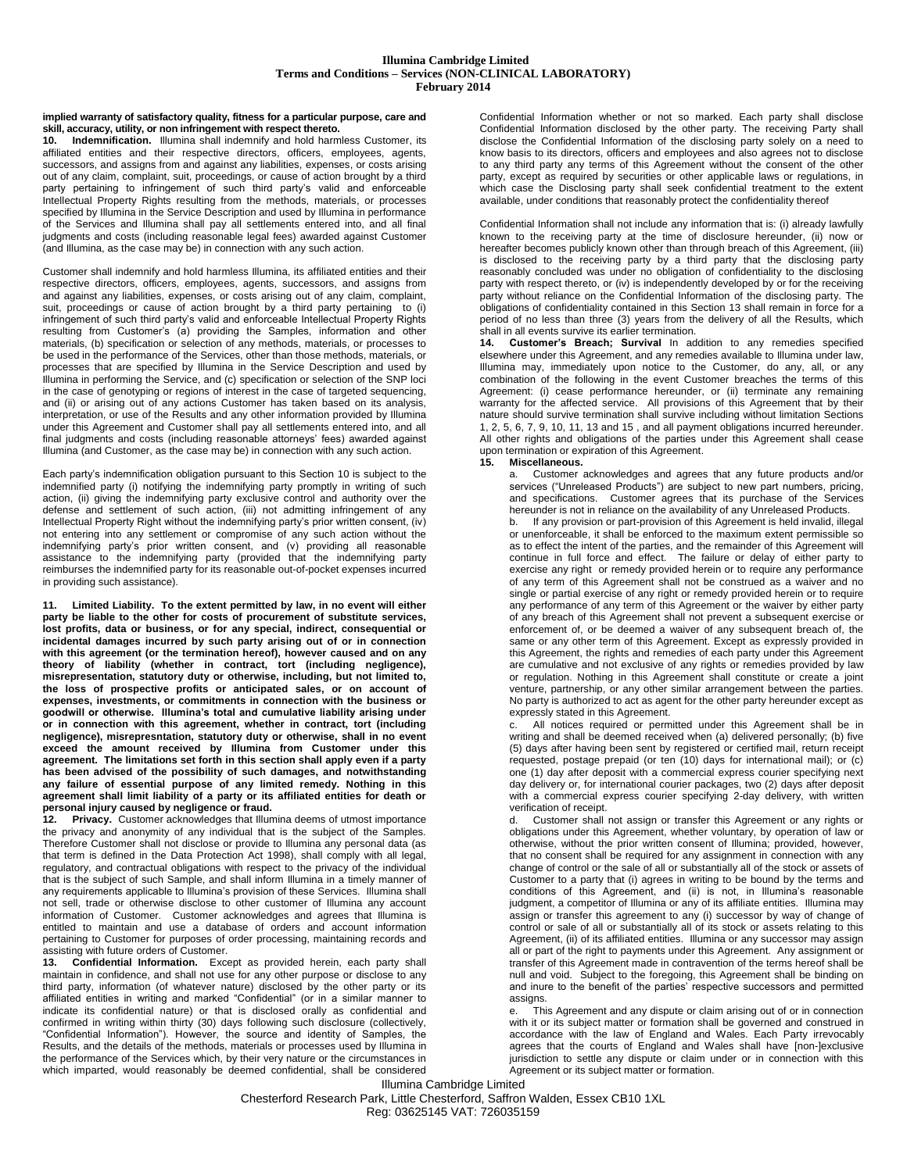## **Illumina Cambridge Limited Terms and Conditions – Services (NON-CLINICAL LABORATORY) February 2014**

**implied warranty of satisfactory quality, fitness for a particular purpose, care and skill, accuracy, utility, or non infringement with respect thereto.**

<span id="page-1-0"></span>**10. Indemnification.** Illumina shall indemnify and hold harmless Customer, its affiliated entities and their respective directors, officers, employees, agents, successors, and assigns from and against any liabilities, expenses, or costs arising out of any claim, complaint, suit, proceedings, or cause of action brought by a third party pertaining to infringement of such third party's valid and enforceable Intellectual Property Rights resulting from the methods, materials, or processes specified by Illumina in the Service Description and used by Illumina in performance of the Services and Illumina shall pay all settlements entered into, and all final judgments and costs (including reasonable legal fees) awarded against Customer (and Illumina, as the case may be) in connection with any such action.

Customer shall indemnify and hold harmless Illumina, its affiliated entities and their respective directors, officers, employees, agents, successors, and assigns from and against any liabilities, expenses, or costs arising out of any claim, complaint, suit, proceedings or cause of action brought by a third party pertaining to (i) infringement of such third party's valid and enforceable Intellectual Property Rights resulting from Customer's (a) providing the Samples, information and other materials, (b) specification or selection of any methods, materials, or processes to be used in the performance of the Services, other than those methods, materials, or processes that are specified by Illumina in the Service Description and used by Illumina in performing the Service, and (c) specification or selection of the SNP loci in the case of genotyping or regions of interest in the case of targeted sequencing, and (ii) or arising out of any actions Customer has taken based on its analysis, interpretation, or use of the Results and any other information provided by Illumina under this Agreement and Customer shall pay all settlements entered into, and all final judgments and costs (including reasonable attorneys' fees) awarded against Illumina (and Customer, as the case may be) in connection with any such action.

Each party's indemnification obligation pursuant to this Section [10](#page-1-0) is subject to the indemnified party (i) notifying the indemnifying party promptly in writing of such action, (ii) giving the indemnifying party exclusive control and authority over the defense and settlement of such action, (iii) not admitting infringement of any Intellectual Property Right without the indemnifying party's prior written consent, (iv) not entering into any settlement or compromise of any such action without the indemnifying party's prior written consent, and (v) providing all reasonable assistance to the indemnifying party (provided that the indemnifying party reimburses the indemnified party for its reasonable out-of-pocket expenses incurred in providing such assistance).

<span id="page-1-2"></span>**11. Limited Liability. To the extent permitted by law, in no event will either party be liable to the other for costs of procurement of substitute services, lost profits, data or business, or for any special, indirect, consequential or incidental damages incurred by such party arising out of or in connection with this agreement (or the termination hereof), however caused and on any theory of liability (whether in contract, tort (including negligence),**  misrepresentation, statutory duty or otherwise, including, but not limited to, **the loss of prospective profits or anticipated sales, or on account of expenses, investments, or commitments in connection with the business or goodwill or otherwise. Illumina's total and cumulative liability arising under or in connection with this agreement, whether in contract, tort (including negligence), misrepresntation, statutory duty or otherwise, shall in no event exceed the amount received by Illumina from Customer under this agreement. The limitations set forth in this section shall apply even if a party has been advised of the possibility of such damages, and notwithstanding any failure of essential purpose of any limited remedy. Nothing in this agreement shall limit liability of a party or its affiliated entities for death or personal injury caused by negligence or fraud.**

**12. Privacy.** Customer acknowledges that Illumina deems of utmost importance the privacy and anonymity of any individual that is the subject of the Samples. Therefore Customer shall not disclose or provide to Illumina any personal data (as that term is defined in the Data Protection Act 1998), shall comply with all legal, regulatory, and contractual obligations with respect to the privacy of the individual that is the subject of such Sample, and shall inform Illumina in a timely manner of any requirements applicable to Illumina's provision of these Services. Illumina shall not sell, trade or otherwise disclose to other customer of Illumina any account information of Customer. Customer acknowledges and agrees that Illumina is entitled to maintain and use a database of orders and account information pertaining to Customer for purposes of order processing, maintaining records and assisting with future orders of Customer.

<span id="page-1-1"></span>**13. Confidential Information.** Except as provided herein, each party shall maintain in confidence, and shall not use for any other purpose or disclose to any third party, information (of whatever nature) disclosed by the other party or its affiliated entities in writing and marked "Confidential" (or in a similar manner to indicate its confidential nature) or that is disclosed orally as confidential and confirmed in writing within thirty (30) days following such disclosure (collectively, "Confidential Information"). However, the source and identity of Samples, the Results, and the details of the methods, materials or processes used by Illumina in the performance of the Services which, by their very nature or the circumstances in which imparted, would reasonably be deemed confidential, shall be considered

Confidential Information whether or not so marked. Each party shall disclose Confidential Information disclosed by the other party. The receiving Party shall disclose the Confidential Information of the disclosing party solely on a need to know basis to its directors, officers and employees and also agrees not to disclose to any third party any terms of this Agreement without the consent of the other party, except as required by securities or other applicable laws or regulations, in which case the Disclosing party shall seek confidential treatment to the extent available, under conditions that reasonably protect the confidentiality thereof

Confidential Information shall not include any information that is: (i) already lawfully known to the receiving party at the time of disclosure hereunder, (ii) now or hereafter becomes publicly known other than through breach of this Agreement, (iii) is disclosed to the receiving party by a third party that the disclosing party reasonably concluded was under no obligation of confidentiality to the disclosing party with respect thereto, or (iv) is independently developed by or for the receiving party without reliance on the Confidential Information of the disclosing party. The obligations of confidentiality contained in this Section [13](#page-1-1) shall remain in force for a period of no less than three (3) years from the delivery of all the Results, which shall in all events survive its earlier termination.

**14. Customer's Breach; Survival** In addition to any remedies specified elsewhere under this Agreement, and any remedies available to Illumina under law, Illumina may, immediately upon notice to the Customer, do any, all, or any combination of the following in the event Customer breaches the terms of this Agreement: (i) cease performance hereunder, or (ii) terminate any remaining warranty for the affected service. All provisions of this Agreement that by their nature should survive termination shall survive including without limitation Sections [1,](#page-0-1) [2,](#page-0-2) [5,](#page-0-3) [6,](#page-0-4) [7,](#page-0-5) [9,](#page-0-0) [10,](#page-1-0) [11,](#page-1-2) [13](#page-1-1) and [15](#page-1-3) , and all payment obligations incurred hereunder. All other rights and obligations of the parties under this Agreement shall cease upon termination or expiration of this Agreement.

## <span id="page-1-3"></span>**15. Miscellaneous.**

a. Customer acknowledges and agrees that any future products and/or services ("Unreleased Products") are subject to new part numbers, pricing, and specifications. Customer agrees that its purchase of the Services hereunder is not in reliance on the availability of any Unreleased Products.

b. If any provision or part-provision of this Agreement is held invalid, illegal or unenforceable, it shall be enforced to the maximum extent permissible so as to effect the intent of the parties, and the remainder of this Agreement will continue in full force and effect. The failure or delay of either party to exercise any right or remedy provided herein or to require any performance of any term of this Agreement shall not be construed as a waiver and no single or partial exercise of any right or remedy provided herein or to require any performance of any term of this Agreement or the waiver by either party of any breach of this Agreement shall not prevent a subsequent exercise or enforcement of, or be deemed a waiver of any subsequent breach of, the same or any other term of this Agreement. Except as expressly provided in this Agreement, the rights and remedies of each party under this Agreement are cumulative and not exclusive of any rights or remedies provided by law or regulation. Nothing in this Agreement shall constitute or create a joint venture, partnership, or any other similar arrangement between the parties. No party is authorized to act as agent for the other party hereunder except as expressly stated in this Agreement.

c. All notices required or permitted under this Agreement shall be in writing and shall be deemed received when (a) delivered personally; (b) five (5) days after having been sent by registered or certified mail, return receipt requested, postage prepaid (or ten (10) days for international mail); or (c) one (1) day after deposit with a commercial express courier specifying next day delivery or, for international courier packages, two (2) days after deposit with a commercial express courier specifying 2-day delivery, with written verification of receipt.<br>d Customer shall

Customer shall not assign or transfer this Agreement or any rights or obligations under this Agreement, whether voluntary, by operation of law or otherwise, without the prior written consent of Illumina; provided, however, that no consent shall be required for any assignment in connection with any change of control or the sale of all or substantially all of the stock or assets of Customer to a party that (i) agrees in writing to be bound by the terms and conditions of this Agreement, and (ii) is not, in Illumina's reasonable judgment, a competitor of Illumina or any of its affiliate entities. Illumina may assign or transfer this agreement to any (i) successor by way of change of control or sale of all or substantially all of its stock or assets relating to this Agreement, (ii) of its affiliated entities. Illumina or any successor may assign all or part of the right to payments under this Agreement. Any assignment or transfer of this Agreement made in contravention of the terms hereof shall be null and void. Subject to the foregoing, this Agreement shall be binding on and inure to the benefit of the parties' respective successors and permitted assigns.

e. This Agreement and any dispute or claim arising out of or in connection with it or its subject matter or formation shall be governed and construed in accordance with the law of England and Wales. Each Party irrevocably agrees that the courts of England and Wales shall have [non-]exclusive jurisdiction to settle any dispute or claim under or in connection with this Agreement or its subject matter or formation.

Illumina Cambridge Limited Chesterford Research Park, Little Chesterford, Saffron Walden, Essex CB10 1XL Reg: 03625145 VAT: 726035159